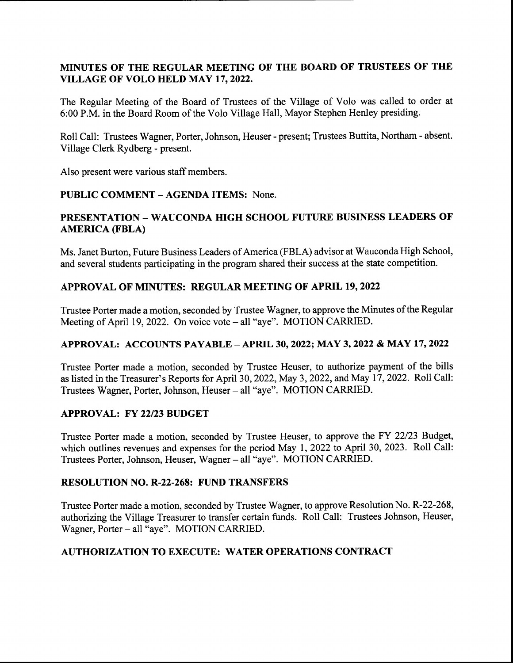## MINUTES OF THE REGULAR MEETING OF THE BOARD OF TRUSTEES OF THE VILLAGE OF VOLO HELD MAY 17, 2022.

The Regular Meeting of the Board of Trustees of the Village of Volo was called to order at 6:00 P.M. in the Board Room of the Volo Village Hall, Mayor Stephen Henley presiding.

Roll Call: Trustees Wagner, Porter, Johnson, Heuser- present; Trustees Buttita, Northam- absent. Village Clerk Rydberg - present.

Also present were various staff members.

## PUBLIC COMMENT—AGENDA ITEMS: None.

## PRESENTATION — WAUCONDA HIGH SCHOOL FUTURE BUSINESS LEADERS OF **AMERICA (FBLA)**

Ms. Janet Burton, Future Business Leaders of America( FBLA) advisor at Wauconda High School, and several students participating in the program shared their success at the state competition.

## APPROVAL OF MINUTES: REGULAR MEETING OF APRIL 19, 2022

Trustee Porter made <sup>a</sup> motion, seconded by Trustee Wagner, to approve the Minutes ofthe Regular Meeting of April 19, 2022. On voice vote – all "aye". MOTION CARRIED.

# APPROVAL: ACCOUNTS PAYABLE— APRIL 30, 2022; MAY 3, 2022 & MAY 17, 2022

Trustee Porter made <sup>a</sup> motion, seconded by Trustee Heuser, to authorize payment of the bills as listed in the Treasurer's Reports for April 30, 2022, May 3, 2022, and May 17, 2022. Roll Call: Trustees Wagner, Porter, Johnson, Heuser— all" aye". MOTION CARRIED.

## APPROVAL: FY 22/23 BUDGET

Trustee Porter made a motion, seconded by Trustee Heuser, to approve the FY 22/23 Budget, which outlines revenues and expenses for the period May 1, <sup>2022</sup> to April 30, 2023. Roll Call: Trustees Porter, Johnson, Heuser, Wagner— all " aye". MOTION CARRIED.

## RESOLUTION NO. R-22-268: FUND TRANSFERS

Trustee Porter made a motion, seconded by Trustee Wagner, to approve Resolution No. R-22-268, authorizing the Village Treasurer to transfer certain funds. Roll Call: Trustees Johnson, Heuser, Wagner, Porter - all "aye". MOTION CARRIED.

# AUTHORIZATION TO EXECUTE: WATER OPERATIONS CONTRACT